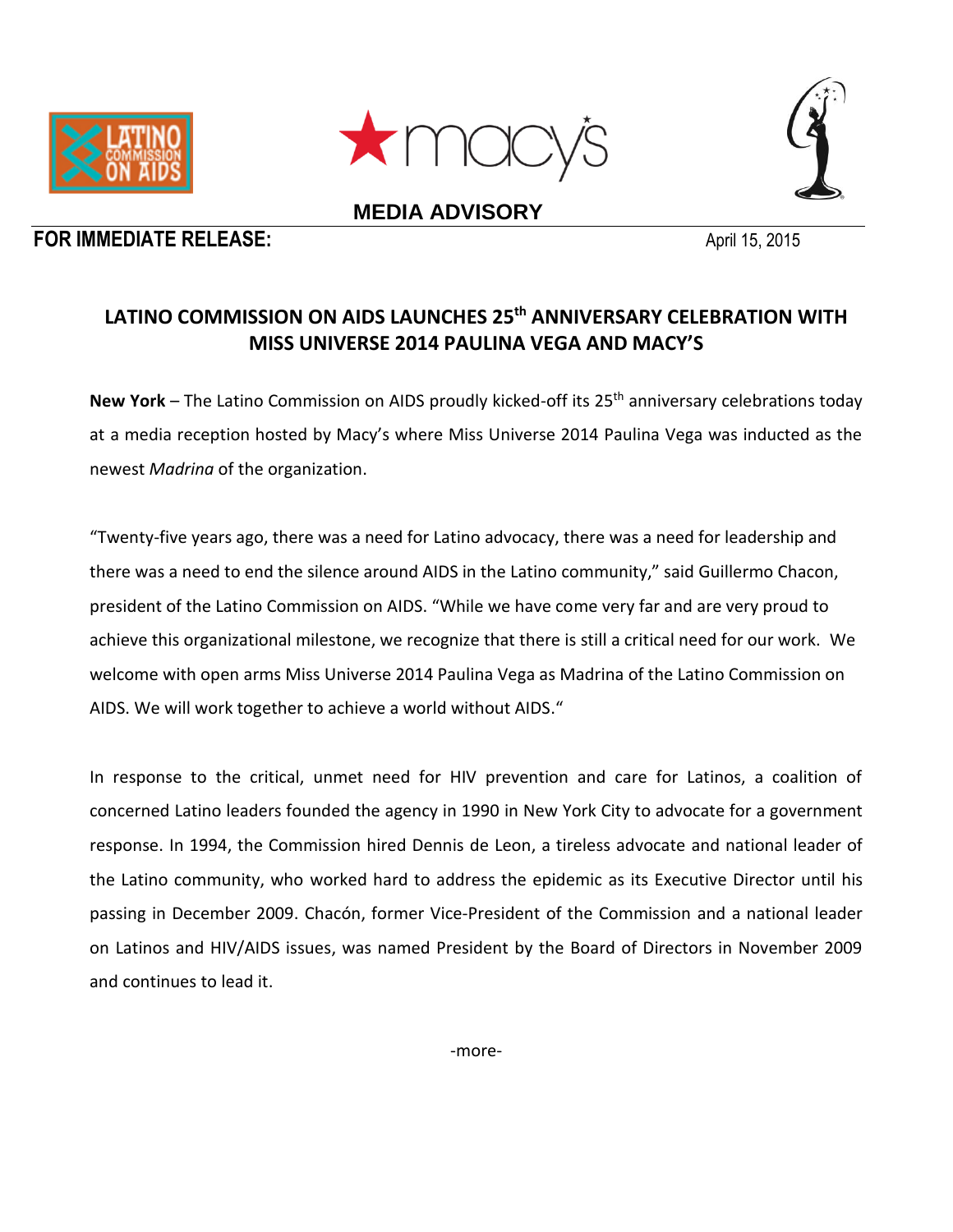



**MEDIA ADVISORY**





## **LATINO COMMISSION ON AIDS LAUNCHES 25th ANNIVERSARY CELEBRATION WITH MISS UNIVERSE 2014 PAULINA VEGA AND MACY'S**

New York – The Latino Commission on AIDS proudly kicked-off its 25<sup>th</sup> anniversary celebrations today at a media reception hosted by Macy's where Miss Universe 2014 Paulina Vega was inducted as the newest *Madrina* of the organization.

"Twenty-five years ago, there was a need for Latino advocacy, there was a need for leadership and there was a need to end the silence around AIDS in the Latino community," said Guillermo Chacon, president of the Latino Commission on AIDS. "While we have come very far and are very proud to achieve this organizational milestone, we recognize that there is still a critical need for our work. We welcome with open arms Miss Universe 2014 Paulina Vega as Madrina of the Latino Commission on AIDS. We will work together to achieve a world without AIDS."

In response to the critical, unmet need for HIV prevention and care for Latinos, a coalition of concerned Latino leaders founded the agency in 1990 in New York City to advocate for a government response. In 1994, the Commission hired Dennis de Leon, a tireless advocate and national leader of the Latino community, who worked hard to address the epidemic as its Executive Director until his passing in December 2009. Chacón, former Vice-President of the Commission and a national leader on Latinos and HIV/AIDS issues, was named President by the Board of Directors in November 2009 and continues to lead it.

-more-